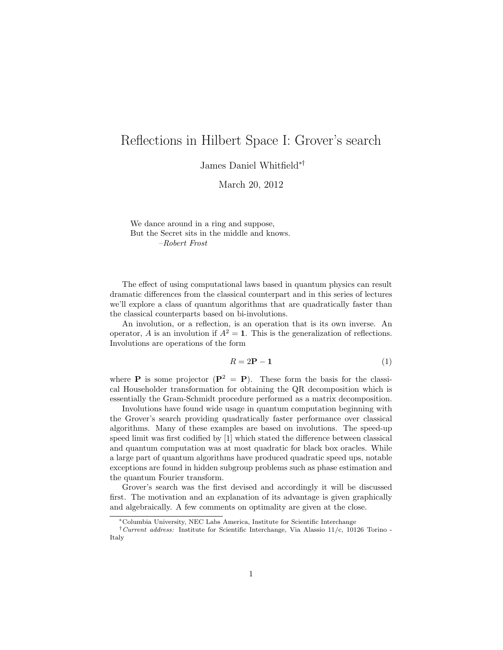# <span id="page-0-0"></span>Reflections in Hilbert Space I: Grover's search

James Daniel Whitfield∗†

March 20, 2012

We dance around in a ring and suppose, But the Secret sits in the middle and knows. –Robert Frost

The effect of using computational laws based in quantum physics can result dramatic differences from the classical counterpart and in this series of lectures we'll explore a class of quantum algorithms that are quadratically faster than the classical counterparts based on bi-involutions.

An involution, or a reflection, is an operation that is its own inverse. An operator, A is an involution if  $A^2 = 1$ . This is the generalization of reflections. Involutions are operations of the form

$$
R = 2P - 1 \tag{1}
$$

where **P** is some projector  $(\mathbf{P}^2 = \mathbf{P})$ . These form the basis for the classical Householder transformation for obtaining the QR decomposition which is essentially the Gram-Schmidt procedure performed as a matrix decomposition.

Involutions have found wide usage in quantum computation beginning with the Grover's search providing quadratically faster performance over classical algorithms. Many of these examples are based on involutions. The speed-up speed limit was first codified by [\[1\]](#page-7-0) which stated the difference between classical and quantum computation was at most quadratic for black box oracles. While a large part of quantum algorithms have produced quadratic speed ups, notable exceptions are found in hidden subgroup problems such as phase estimation and the quantum Fourier transform.

Grover's search was the first devised and accordingly it will be discussed first. The motivation and an explanation of its advantage is given graphically and algebraically. A few comments on optimality are given at the close.

<sup>∗</sup>Columbia University, NEC Labs America, Institute for Scientific Interchange

<sup>&</sup>lt;sup>†</sup>Current address: Institute for Scientific Interchange, Via Alassio 11/c, 10126 Torino -Italy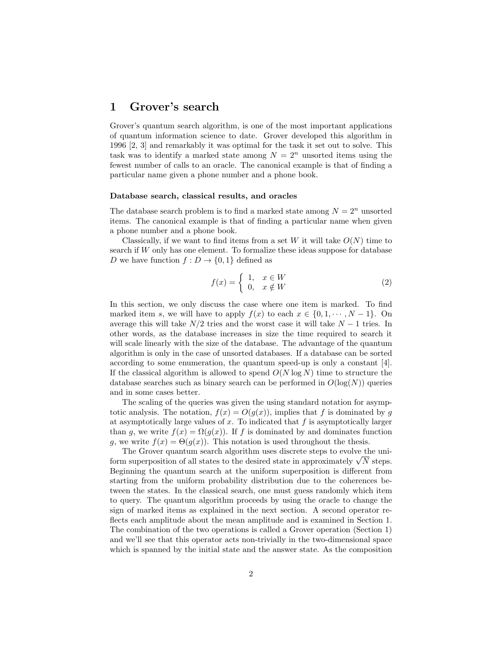## 1 Grover's search

Grover's quantum search algorithm, is one of the most important applications of quantum information science to date. Grover developed this algorithm in 1996 [\[2,](#page-7-1) [3\]](#page-7-2) and remarkably it was optimal for the task it set out to solve. This task was to identify a marked state among  $N = 2<sup>n</sup>$  unsorted items using the fewest number of calls to an oracle. The canonical example is that of finding a particular name given a phone number and a phone book.

#### Database search, classical results, and oracles

The database search problem is to find a marked state among  $N = 2<sup>n</sup>$  unsorted items. The canonical example is that of finding a particular name when given a phone number and a phone book.

Classically, if we want to find items from a set W it will take  $O(N)$  time to search if W only has one element. To formalize these ideas suppose for database D we have function  $f: D \to \{0,1\}$  defined as

<span id="page-1-0"></span>
$$
f(x) = \begin{cases} 1, & x \in W \\ 0, & x \notin W \end{cases}
$$
 (2)

In this section, we only discuss the case where one item is marked. To find marked item s, we will have to apply  $f(x)$  to each  $x \in \{0, 1, \dots, N-1\}$ . On average this will take  $N/2$  tries and the worst case it will take  $N-1$  tries. In other words, as the database increases in size the time required to search it will scale linearly with the size of the database. The advantage of the quantum algorithm is only in the case of unsorted databases. If a database can be sorted according to some enumeration, the quantum speed-up is only a constant [\[4\]](#page-7-3). If the classical algorithm is allowed to spend  $O(N \log N)$  time to structure the database searches such as binary search can be performed in  $O(\log(N))$  queries and in some cases better.

The scaling of the queries was given the using standard notation for asymptotic analysis. The notation,  $f(x) = O(g(x))$ , implies that f is dominated by g at asymptotically large values of x. To indicated that  $f$  is asymptotically larger than g, we write  $f(x) = \Omega(g(x))$ . If f is dominated by and dominates function g, we write  $f(x) = \Theta(g(x))$ . This notation is used throughout the thesis.

The Grover quantum search algorithm uses discrete steps to evolve the uni-The Grover quantum search algorithm uses discrete steps to evolve the uniform superposition of all states to the desired state in approximately  $\sqrt{N}$  steps. Beginning the quantum search at the uniform superposition is different from starting from the uniform probability distribution due to the coherences between the states. In the classical search, one must guess randomly which item to query. The quantum algorithm proceeds by using the oracle to change the sign of marked items as explained in the next section. A second operator reflects each amplitude about the mean amplitude and is examined in Section [1.](#page-2-0) The combination of the two operations is called a Grover operation (Section [1\)](#page-3-0) and we'll see that this operator acts non-trivially in the two-dimensional space which is spanned by the initial state and the answer state. As the composition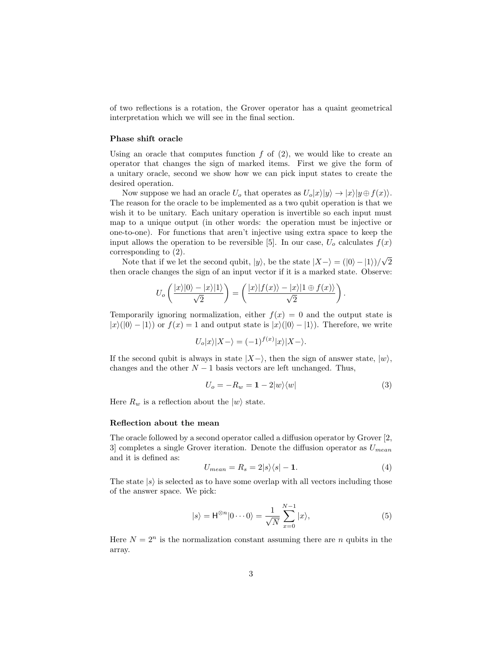of two reflections is a rotation, the Grover operator has a quaint geometrical interpretation which we will see in the final section.

### Phase shift oracle

Using an oracle that computes function  $f$  of  $(2)$ , we would like to create an operator that changes the sign of marked items. First we give the form of a unitary oracle, second we show how we can pick input states to create the desired operation.

Now suppose we had an oracle  $U_o$  that operates as  $U_o|x\rangle|y\rangle \rightarrow |x\rangle|y \oplus f(x)\rangle$ . The reason for the oracle to be implemented as a two qubit operation is that we wish it to be unitary. Each unitary operation is invertible so each input must map to a unique output (in other words: the operation must be injective or one-to-one). For functions that aren't injective using extra space to keep the input allows the operation to be reversible [\[5\]](#page-7-4). In our case,  $U_o$  calculates  $f(x)$ corresponding to [\(2\)](#page-1-0). √

Note that if we let the second qubit,  $|y\rangle$ , be the state  $|X-\rangle = (|0\rangle - |1\rangle)/\langle$ 2 then oracle changes the sign of an input vector if it is a marked state. Observe:

$$
U_o\left(\frac{|x\rangle|0\rangle-|x\rangle|1\rangle}{\sqrt{2}}\right)=\left(\frac{|x\rangle|f(x)\rangle-|x\rangle|1\oplus f(x)\rangle}{\sqrt{2}}\right)
$$

Temporarily ignoring normalization, either  $f(x) = 0$  and the output state is  $|x\rangle(|0\rangle - |1\rangle)$  or  $f(x) = 1$  and output state is  $|x\rangle(|0\rangle - |1\rangle)$ . Therefore, we write

$$
U_o|x\rangle|X-\rangle = (-1)^{f(x)}|x\rangle|X-\rangle.
$$

If the second qubit is always in state  $|X-\rangle$ , then the sign of answer state,  $|w\rangle$ , changes and the other  $N-1$  basis vectors are left unchanged. Thus,

<span id="page-2-2"></span>
$$
U_o = -R_w = 1 - 2|w\rangle\langle w| \tag{3}
$$

.

Here  $R_w$  is a reflection about the  $|w\rangle$  state.

### Reflection about the mean

<span id="page-2-0"></span>The oracle followed by a second operator called a diffusion operator by Grover [\[2,](#page-7-1) [3\]](#page-7-2) completes a single Grover iteration. Denote the diffusion operator as  $U_{mean}$ and it is defined as:

<span id="page-2-3"></span>
$$
U_{mean} = R_s = 2|s\rangle\langle s| - 1.
$$
\n(4)

The state  $|s\rangle$  is selected as to have some overlap with all vectors including those of the answer space. We pick:

<span id="page-2-1"></span>
$$
|s\rangle = \mathsf{H}^{\otimes n} |0 \cdots 0\rangle = \frac{1}{\sqrt{N}} \sum_{x=0}^{N-1} |x\rangle,\tag{5}
$$

Here  $N = 2^n$  is the normalization constant assuming there are n qubits in the array.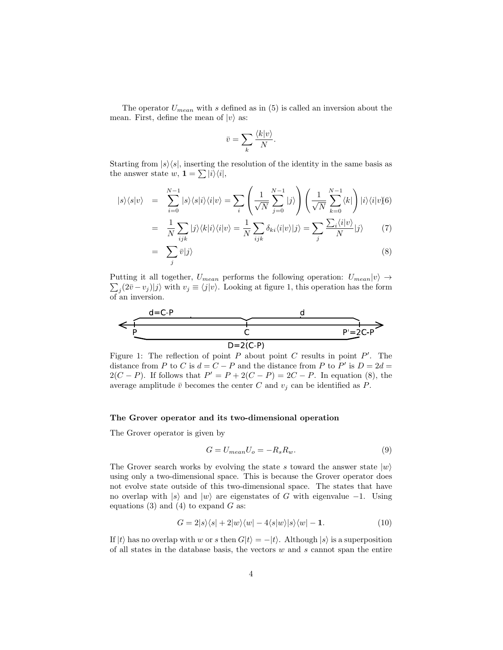The operator  $U_{mean}$  with s defined as in [\(5\)](#page-2-1) is called an inversion about the mean. First, define the mean of  $|v\rangle$  as:

$$
\bar{v} = \sum_{k} \frac{\langle k | v \rangle}{N}.
$$

Starting from  $|s\rangle\langle s|$ , inserting the resolution of the identity in the same basis as the answer state  $w, \mathbf{1} = \sum |i\rangle\langle i|,$ 

<span id="page-3-2"></span>
$$
|s\rangle\langle s|v\rangle = \sum_{i=0}^{N-1} |s\rangle\langle s|i\rangle\langle i|v\rangle = \sum_{i} \left(\frac{1}{\sqrt{N}} \sum_{j=0}^{N-1} |j\rangle\right) \left(\frac{1}{\sqrt{N}} \sum_{k=0}^{N-1} \langle k| \right) |i\rangle\langle i|v\rangle\langle 6\rangle
$$
  

$$
\frac{1}{N} \sum_{i} |j\rangle\langle j| |\langle j| \rangle\langle 1| \rangle = \frac{1}{N} \sum_{i} |j\rangle\langle j| |\langle j| \rangle\langle 7| \sum_{i} \sum_{j} \langle i|v\rangle\langle 7| \rangle
$$

$$
= \frac{1}{N} \sum_{ijk} |j\rangle\langle k|i\rangle\langle i|v\rangle = \frac{1}{N} \sum_{ijk} \delta_{ki} \langle i|v\rangle |j\rangle = \sum_{j} \frac{\sum_{i} \langle i|v\rangle}{N} |j\rangle \tag{7}
$$

$$
= \sum_{j} \bar{v}|j\rangle \tag{8}
$$

Putting it all together,  $U_{mean}$  performs the following operation:  $U_{mean}|v\rangle \rightarrow$  $\sum_{j} (2\bar{v} - v_j)|j\rangle$  with  $v_j \equiv \langle j|v\rangle$ . Looking at figure [1,](#page-3-1) this operation has the form of an inversion.



<span id="page-3-1"></span>Figure 1: The reflection of point  $P$  about point  $C$  results in point  $P'$ . The distance from P to C is  $d = C - P$  and the distance from P to P' is  $D = 2d =$  $2(C - P)$ . If follows that  $P' = P + 2(C - P) = 2C - P$ . In equation [\(8\)](#page-3-2), the average amplitude  $\bar{v}$  becomes the center C and  $v_i$  can be identified as P.

### The Grover operator and its two-dimensional operation

<span id="page-3-0"></span>The Grover operator is given by

$$
G = U_{mean} U_o = -R_s R_w.
$$
\n(9)

The Grover search works by evolving the state s toward the answer state  $|w\rangle$ using only a two-dimensional space. This is because the Grover operator does not evolve state outside of this two-dimensional space. The states that have no overlap with  $|s\rangle$  and  $|w\rangle$  are eigenstates of G with eigenvalue −1. Using equations [\(3\)](#page-2-2) and [\(4\)](#page-2-3) to expand  $G$  as:

<span id="page-3-3"></span>
$$
G = 2|s\rangle\langle s| + 2|w\rangle\langle w| - 4\langle s|w\rangle|s\rangle\langle w| - 1.
$$
 (10)

If  $|t\rangle$  has no overlap with w or s then  $G|t\rangle = -|t\rangle$ . Although  $|s\rangle$  is a superposition of all states in the database basis, the vectors  $w$  and  $s$  cannot span the entire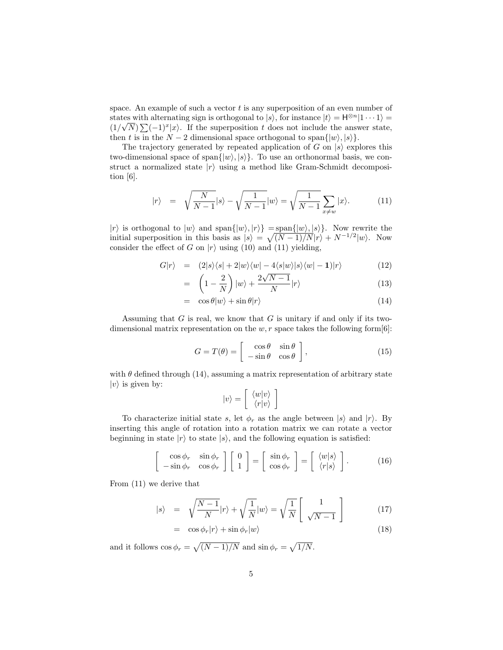space. An example of such a vector  $t$  is any superposition of an even number of states with alternating sign is orthogonal to  $|s\rangle$ , for instance  $|t\rangle = H^{\otimes n}|1 \cdots 1\rangle =$  $(1/\sqrt{N})\sum (-1)^{x}|x\rangle$ . If the superposition t does not include the answer state, then t is in the  $N-2$  dimensional space orthogonal to span $\{|w\rangle, |s\rangle\}.$ 

The trajectory generated by repeated application of G on  $|s\rangle$  explores this two-dimensional space of span $\{|w\rangle, |s\rangle\}$ . To use an orthonormal basis, we construct a normalized state  $|r\rangle$  using a method like Gram-Schmidt decomposition [\[6\]](#page-7-5).

<span id="page-4-0"></span>
$$
|r\rangle = \sqrt{\frac{N}{N-1}}|s\rangle - \sqrt{\frac{1}{N-1}}|w\rangle = \sqrt{\frac{1}{N-1}}\sum_{x \neq w} |x\rangle.
$$
 (11)

 $|r\rangle$  is orthogonal to  $|w\rangle$  and  $\text{span}\{|w\rangle, |r\rangle\} = \text{span}\{|w\rangle, |s\rangle\}.$  Now rewrite the initial superposition in this basis as  $|s\rangle = \sqrt{(N-1)/N}|r\rangle + N^{-1/2}|w\rangle$ . Now consider the effect of G on  $|r\rangle$  using [\(10\)](#page-3-3) and [\(11\)](#page-4-0) yielding,

<span id="page-4-1"></span>
$$
G|r\rangle = (2|s\rangle\langle s| + 2|w\rangle\langle w| - 4\langle s|w\rangle|s\rangle\langle w| - 1)|r\rangle \qquad (12)
$$

$$
= \left(1 - \frac{2}{N}\right)|w\rangle + \frac{2\sqrt{N-1}}{N}|r\rangle \tag{13}
$$

$$
= \cos \theta |w\rangle + \sin \theta |r\rangle \tag{14}
$$

Assuming that  $G$  is real, we know that  $G$  is unitary if and only if its twodimensional matrix representation on the  $w, r$  space takes the following form  $[6]$ :

$$
G = T(\theta) = \begin{bmatrix} \cos \theta & \sin \theta \\ -\sin \theta & \cos \theta \end{bmatrix},
$$
 (15)

with  $\theta$  defined through [\(14\)](#page-4-1), assuming a matrix representation of arbitrary state  $|v\rangle$  is given by:

$$
|v\rangle = \left[\begin{array}{c} \langle w|v\rangle\\ \langle r|v\rangle \end{array}\right]
$$

To characterize initial state s, let  $\phi_r$  as the angle between  $|s\rangle$  and  $|r\rangle$ . By inserting this angle of rotation into a rotation matrix we can rotate a vector beginning in state  $|r\rangle$  to state  $|s\rangle$ , and the following equation is satisfied:

$$
\begin{bmatrix}\n\cos \phi_r & \sin \phi_r \\
-\sin \phi_r & \cos \phi_r\n\end{bmatrix}\n\begin{bmatrix}\n0 \\
1\n\end{bmatrix} =\n\begin{bmatrix}\n\sin \phi_r \\
\cos \phi_r\n\end{bmatrix} =\n\begin{bmatrix}\n\langle w|s \rangle \\
\langle r|s \rangle\n\end{bmatrix}.
$$
\n(16)

From [\(11\)](#page-4-0) we derive that

<span id="page-4-2"></span>
$$
|s\rangle = \sqrt{\frac{N-1}{N}}|r\rangle + \sqrt{\frac{1}{N}}|w\rangle = \sqrt{\frac{1}{N}} \left[ \frac{1}{\sqrt{N-1}} \right] \tag{17}
$$

$$
= \cos \phi_r |r\rangle + \sin \phi_r |w\rangle \tag{18}
$$

and it follows  $\cos \phi_r = \sqrt{(N-1)/N}$  and  $\sin \phi_r = \sqrt{1/N}$ .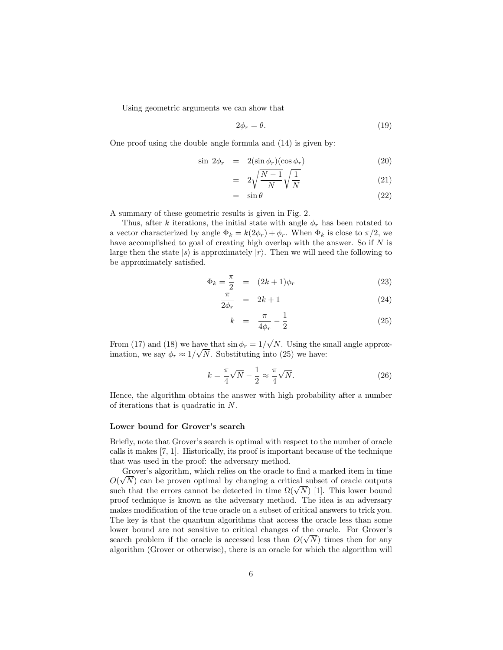Using geometric arguments we can show that

$$
2\phi_r = \theta. \tag{19}
$$

One proof using the double angle formula and [\(14\)](#page-4-1) is given by:

<span id="page-5-1"></span>
$$
\sin 2\phi_r = 2(\sin \phi_r)(\cos \phi_r) \tag{20}
$$

$$
= 2\sqrt{\frac{N-1}{N}}\sqrt{\frac{1}{N}} \tag{21}
$$

$$
= \sin \theta \tag{22}
$$

A summary of these geometric results is given in Fig. [2.](#page-6-0)

Thus, after k iterations, the initial state with angle  $\phi_r$  has been rotated to a vector characterized by angle  $\Phi_k = k(2\phi_r) + \phi_r$ . When  $\Phi_k$  is close to  $\pi/2$ , we have accomplished to goal of creating high overlap with the answer. So if  $N$  is large then the state  $|s\rangle$  is approximately  $|r\rangle$ . Then we will need the following to be approximately satisfied.

<span id="page-5-0"></span>
$$
\Phi_k = \frac{\pi}{2} = (2k+1)\phi_r \tag{23}
$$

$$
\frac{\pi}{2\phi_r} = 2k+1 \tag{24}
$$

$$
k = \frac{\pi}{4\phi_r} - \frac{1}{2}
$$
 (25)

From [\(17\)](#page-4-2) and [\(18\)](#page-4-2) we have that  $\sin \phi_r = 1/$ √ ave that  $\sin \phi_r = 1/\sqrt{N}$ . Using the small angle approximation, we say  $\phi_r \approx 1/\sqrt{N}$ . Substituting into [\(25\)](#page-5-0) we have:

$$
k = \frac{\pi}{4}\sqrt{N} - \frac{1}{2} \approx \frac{\pi}{4}\sqrt{N}.
$$
 (26)

Hence, the algorithm obtains the answer with high probability after a number of iterations that is quadratic in N.

#### Lower bound for Grover's search

Briefly, note that Grover's search is optimal with respect to the number of oracle calls it makes [\[7,](#page-7-6) [1\]](#page-7-0). Historically, its proof is important because of the technique that was used in the proof: the adversary method.

Grover's algorithm, which relies on the oracle to find a marked item in time  $O(\sqrt{N})$  can be proven optimal by changing a critical subset of oracle outputs  $O(VN)$  can be proven optimal by changing a critical subset of oracle outputs such that the errors cannot be detected in time  $\Omega(\sqrt{N})$  [\[1\]](#page-7-0). This lower bound proof technique is known as the adversary method. The idea is an adversary makes modification of the true oracle on a subset of critical answers to trick you. The key is that the quantum algorithms that access the oracle less than some lower bound are not sensitive to critical changes of the oracle. For Grover's √ search problem if the oracle is accessed less than  $O(\sqrt{N})$  times then for any algorithm (Grover or otherwise), there is an oracle for which the algorithm will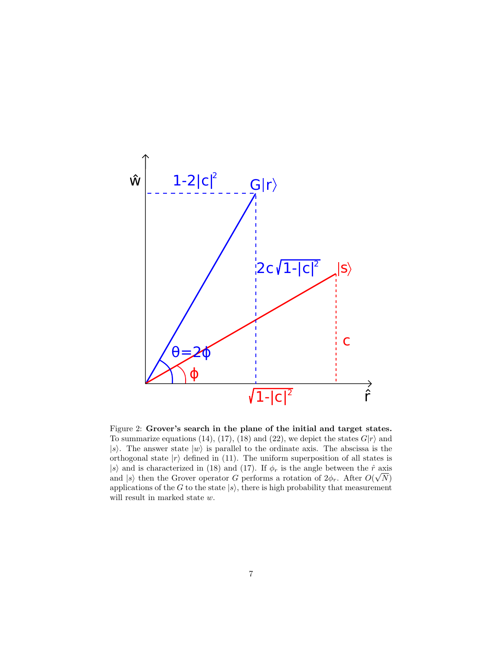

<span id="page-6-0"></span>Figure 2: Grover's search in the plane of the initial and target states. To summarize equations [\(14\)](#page-4-1), [\(17\)](#page-4-2), [\(18\)](#page-4-2) and [\(22\)](#page-5-1), we depict the states  $G|r\rangle$  and  $|s\rangle$ . The answer state  $|w\rangle$  is parallel to the ordinate axis. The abscissa is the orthogonal state  $|r\rangle$  defined in [\(11\)](#page-4-0). The uniform superposition of all states is |s) and is characterized in [\(18\)](#page-4-2) and [\(17\)](#page-4-2). If  $\phi_r$  is the angle between the  $\hat{r}$  axis and  $|s\rangle$  then the Grover operator G performs a rotation of  $2\phi_r$ . After  $O(\sqrt{N})$ applications of the G to the state  $|s\rangle$ , there is high probability that measurement will result in marked state w.